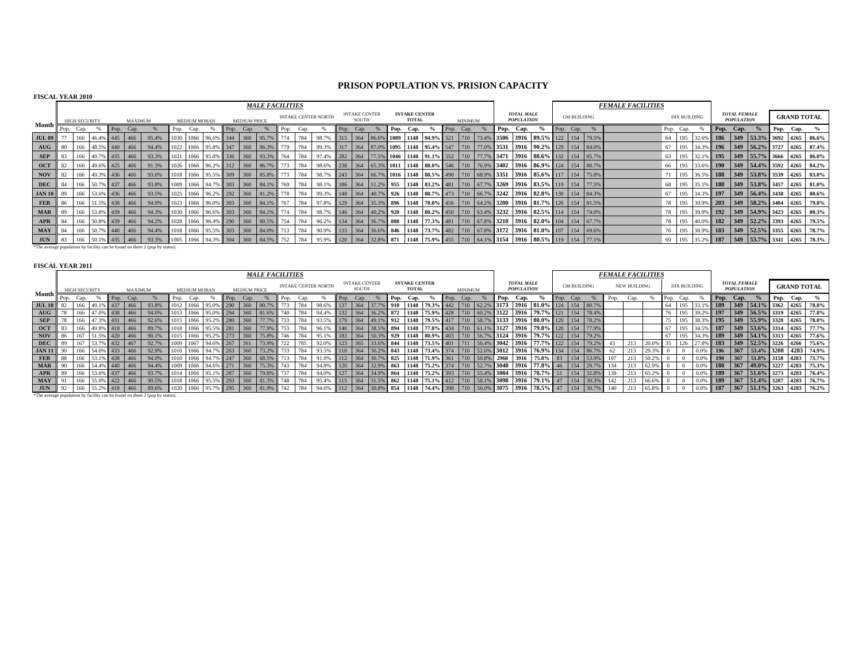## **PRISON POPULATION VS. PRISION CAPACITY**

| <b>FISCAL YEAR 2010</b> |      |                      |                   |                      |                                                                              |                     |                     |      |                     |                                               |      |      |                                                                                                                                   |                     |                               |  |                               |                                       |           |                |  |                                        |                                                                                                                      |           |                    |                          |                     |                  |                                          |                                                            |           |                                                            |
|-------------------------|------|----------------------|-------------------|----------------------|------------------------------------------------------------------------------|---------------------|---------------------|------|---------------------|-----------------------------------------------|------|------|-----------------------------------------------------------------------------------------------------------------------------------|---------------------|-------------------------------|--|-------------------------------|---------------------------------------|-----------|----------------|--|----------------------------------------|----------------------------------------------------------------------------------------------------------------------|-----------|--------------------|--------------------------|---------------------|------------------|------------------------------------------|------------------------------------------------------------|-----------|------------------------------------------------------------|
|                         |      |                      |                   |                      |                                                                              |                     |                     |      |                     | <b>MALE FACILITIES</b>                        |      |      |                                                                                                                                   |                     |                               |  |                               |                                       |           |                |  |                                        |                                                                                                                      |           |                    | <b>FEMALE FACILITIES</b> |                     |                  |                                          |                                                            |           |                                                            |
| Month <b>r</b>          |      | <b>HIGH SECURITY</b> |                   | MAXIMUM              |                                                                              | <b>MEDIUM MORAN</b> |                     |      | <b>MEDIUM PRICE</b> |                                               |      |      | <b>INTAKE CENTER NORTH</b>                                                                                                        |                     | <b>INTAKE CENTER</b><br>SOUTH |  | <b>INTAKE CENTER</b><br>TOTAL |                                       |           | <b>MINIMUM</b> |  | <b>TOTAL MALE</b><br><b>POPULATION</b> |                                                                                                                      |           | <b>GM BUILDING</b> |                          | <b>DIX BUILDING</b> |                  | <b>TOTAL FEMALE</b><br><b>POPULATION</b> |                                                            |           | <b>GRAND TOTAL</b>                                         |
|                         | Pop. | Cap.                 |                   | Pop. Cap.            |                                                                              | Pop. Cap.           |                     | Pop. | Cap.                |                                               | Pop. | Cap. |                                                                                                                                   | $\blacksquare$ Pop. | Cap.                          |  | Pop. Cap.                     | $\frac{6}{6}$                         | Pop. Cap. |                |  | Pop. Cap.                              | $\frac{9}{6}$                                                                                                        | Pop. Cap. |                    |                          | Pop. Cap.           |                  | Pop. Cap.                                | $\frac{6}{9}$                                              | Pop. Cap. |                                                            |
| <b>JUL 09</b>           |      |                      | 166 46.4% 445 466 |                      | 95.4%                                                                        |                     | 1030 1066 96.6% 344 |      |                     | 360 95.7% 774                                 |      | 784  | 98.7%                                                                                                                             |                     |                               |  |                               | 315 364 86.6% 1089 1148 94.9% 521 710 |           |                |  |                                        | $\mid$ 73.4% 3506 3916 89.5% 122 154 79.5%                                                                           |           |                    |                          |                     |                  |                                          | 64 195 32.6% 186 349 53.3% 3692 4265                       |           | 86.6%                                                      |
| AUG                     | -80  |                      |                   | $166$ 48.5% 440 466  | 94.4%                                                                        |                     | 1022 1066 95.8% 347 |      |                     | 360 96.3% 779                                 |      | 784  | 99.3%                                                                                                                             |                     |                               |  |                               |                                       |           |                |  |                                        | $\parallel$ 317   364   87.0%    1095   1148   95.4%   547   710   77.0%    3531   3916   90.2%    129   154   84.0% |           |                    |                          |                     |                  |                                          |                                                            |           | 67   195   34.3%   196   349   56.2%   3727   4265   87.4% |
| SEP                     | 83   |                      |                   | 166 49.7% 435 466    | 93.3%                                                                        |                     |                     |      |                     | 1021  1066   95.8%   336   360   93.3%   764  |      | 784  | 97.4% 282 364 77.5% 1046 1148 91.1% 552 710 77.7% 3471 3916 88.6% 132 154 85.7%                                                   |                     |                               |  |                               |                                       |           |                |  |                                        |                                                                                                                      |           |                    |                          |                     |                  |                                          |                                                            |           | 63   195   32.1%   195   349   55.7%   3666   4265   86.0% |
| <b>OCT</b>              |      |                      |                   | 166 49.6% 425 466    | 91.3%                                                                        |                     |                     |      |                     | $1026$ 1066 96.2% 312 360 86.7% 773           |      | 784  | 98.6% 238 364 65.3% 1011 1148 88.0% 546 710 76.9% 3402 3916 86.9% 124 154 80.7%                                                   |                     |                               |  |                               |                                       |           |                |  |                                        |                                                                                                                      |           |                    |                          |                     | 66 195 33.6% 190 |                                          | 349   54.4%   3592   4265   84.2%                          |           |                                                            |
| <b>NOV</b>              | 82   |                      |                   | 166 49.3% 436 466    | 93.6%                                                                        |                     |                     |      |                     | $1018$ 1066 95.5% 309 360 85.8% 773           |      | 784  | 98.7% 243 364 66.7% 1016 1148 88.5% 490 710 68.9% 3351 3916 85.6% 117 154 75.8%                                                   |                     |                               |  |                               |                                       |           |                |  |                                        |                                                                                                                      |           |                    |                          |                     |                  |                                          | 71 195 36.5% 188 349 53.8% 3539 4265                       |           | $83.0\%$                                                   |
| <b>DEC</b>              | 84   |                      |                   | 166 50.7% 437 466    | 93.8%                                                                        |                     |                     |      |                     | 1009 1066 94.7% 303 360 84.1% 769             |      | 784  | 98.1% 186 364 51.2% 955 1148 83.2% 481 710 67.7% 3269 3916 83.5% 119 154 77.5%                                                    |                     |                               |  |                               |                                       |           |                |  |                                        |                                                                                                                      |           |                    |                          |                     |                  |                                          | 68 195 35.1% 188 349 53.8% 3457 4265                       |           | $81.0\%$                                                   |
| <b>JAN 10</b>           | -89  |                      |                   | 166 53.6% 436 466    | 93.5%                                                                        |                     |                     |      |                     | 1025 1066 96.2% 292 360 81.2% 778 784         |      |      | 99.3% 148 364 40.7% 926 1148 80.7% 473 710 66.7% 3242 3916 82.8% 130 154 84.3%                                                    |                     |                               |  |                               |                                       |           |                |  |                                        |                                                                                                                      |           |                    |                          |                     |                  |                                          |                                                            |           | 67   195   34.3%   197   349   56.4%   3438   4265   80.6% |
| FEB                     | 86   |                      |                   | 166 51.5% 438 466    | 94.0%                                                                        |                     |                     |      |                     | $1023$ 1066 96.0% 303 360 84.1% 767 784       |      |      | 97.8% 129 364 35.3% 896 1148 78.0% 456 710 64.2% 3200 3916 81.7% 126 154 81.5%                                                    |                     |                               |  |                               |                                       |           |                |  |                                        |                                                                                                                      |           |                    |                          |                     |                  |                                          | 78   195   39.9%   203   349   58.2%   3404   4265         |           | 79.8%                                                      |
| <b>MAR</b>              |      |                      |                   | 166 53.8% 439 466    | 94.3%                                                                        |                     |                     |      |                     | 1030   1066   96.6%   303   360   84.1%   774 |      | 784  | $\mid$ 98.7%    146   364    40.2%    920    1148    80.2%    450    710    63.4%    3232    3916    82.5%    114    154    74.0% |                     |                               |  |                               |                                       |           |                |  |                                        |                                                                                                                      |           |                    |                          |                     |                  |                                          | 78   195   39.9%   192   349   54.9%   3423   4265   80.3% |           |                                                            |
| APR                     | -84  |                      |                   | 166 50.8% 439 466    | 94.2%                                                                        |                     |                     |      |                     | $1028$ 1066 96.4% 290 360 80.5% 754           |      | 784  | 96.2%                                                                                                                             |                     |                               |  |                               |                                       |           |                |  |                                        | 134    364    36.7%    888    1148    77.3%    481    710    67.8%    3210    3916    82.0%    104    154    67.7%   |           |                    |                          |                     |                  |                                          | 78 195 40.0% 182 349 52.2% 3393 4265                       |           | 79.5%                                                      |
| <b>MAY</b>              | -84  |                      |                   | 166 50.7% 440 466    | 94.4%                                                                        |                     |                     |      |                     | $1018$ 1066 95.5% 303 360 84.0% 713           |      | 784  | 90.9%                                                                                                                             |                     |                               |  |                               |                                       |           |                |  |                                        | 133   364   36.6%   846   1148   73.7%   482   710   67.8%   3172   3916   81.0%   107   154   69.6%                 |           |                    |                          |                     |                  |                                          | 76   195   38.9%   183   349   52.5%   3355   4265   78.7% |           |                                                            |
| JUN                     |      |                      |                   | 83 166 50.1% 435 466 | 93.3%                                                                        |                     |                     |      |                     | $1005$ 1066 94.3% 304 360 84.5% 752           |      | 784  | 95.9%                                                                                                                             |                     |                               |  |                               |                                       |           |                |  |                                        | 120   364   32.8%   871   1148   75.9%   455   710   64.1%   3154   3916   80.5%   119   154   77.1%                 |           |                    |                          |                     | 69 195 35.2% 187 |                                          |                                                            |           | 349 33.7% 3341 4265 78.3%                                  |
|                         |      |                      |                   |                      | *The average population by facility can be found on sheet 2 (pop by status). |                     |                     |      |                     |                                               |      |      |                                                                                                                                   |                     |                               |  |                               |                                       |           |                |  |                                        |                                                                                                                      |           |                    |                          |                     |                  |                                          |                                                            |           |                                                            |

**FISCAL YEAR 2011**

|                |      |                      |               |                 |                     |       |                  |                     |                           |      |                     | <b>MALE FACILITIES</b> |     |     |                            |                                      |                                      |                         |              |                                      |               |                |                                 |      |                                        |                                                                                       |         |                    |           | <b>FEMALE FACILITIES</b> |                     |       |    |                     |       |                 |                                          |                             |                    |       |
|----------------|------|----------------------|---------------|-----------------|---------------------|-------|------------------|---------------------|---------------------------|------|---------------------|------------------------|-----|-----|----------------------------|--------------------------------------|--------------------------------------|-------------------------|--------------|--------------------------------------|---------------|----------------|---------------------------------|------|----------------------------------------|---------------------------------------------------------------------------------------|---------|--------------------|-----------|--------------------------|---------------------|-------|----|---------------------|-------|-----------------|------------------------------------------|-----------------------------|--------------------|-------|
|                |      | <b>HIGH SECURITY</b> |               |                 | <b>MAXIMUM</b>      |       |                  | <b>MEDIUM MORAN</b> |                           |      | <b>MEDIUM PRICE</b> |                        |     |     | <b>INTAKE CENTER NORTH</b> |                                      | <b>INTAKE CENTER</b><br><b>SOUTH</b> |                         |              | <b>INTAKE CENTER</b><br><b>TOTAL</b> |               | <b>MINIMUM</b> |                                 |      | <b>TOTAL MALE</b><br><b>POPULATION</b> |                                                                                       |         | <b>GM BUILDING</b> |           |                          | <b>NEW BUILDING</b> |       |    | <b>DIX BUILDING</b> |       |                 | <b>TOTAL FEMALE</b><br><b>POPULATION</b> |                             | <b>GRAND TOTAL</b> |       |
| Month <b>f</b> | Pop. | Cap.                 |               | Pop.            | Cap.                |       | Pop.             | Can                 |                           | Pop. | Can.                |                        |     |     |                            |                                      | Cap.                                 |                         | Pop.         | Cap.                                 |               | Cap.           |                                 | Pop. | Cap.                                   |                                                                                       | Il Pop. | Cap.               |           |                          | Can.                |       |    |                     |       | Pop.            | Cap.                                     |                             | Pop. Cap.          |       |
| <b>JUL 10</b>  |      |                      |               |                 | 466                 | 93.8% |                  | 1066                | 95.0% 290                 |      | 360                 |                        |     |     | 98.6%                      | 137                                  |                                      |                         |              | 1148                                 | 79.3% 442 710 |                |                                 |      |                                        | $3173$ 3916 81.0% 124 154 80.7%                                                       |         |                    |           |                          |                     |       |    |                     |       | <b>189</b>      |                                          | $349$ 54.1% 3362 4265       |                    | 78.8% |
| AUG            |      | 166                  |               |                 | 47.0% 438 466       | 94.0% |                  |                     | $1013$ 1066 95.0% 294 360 |      |                     |                        |     |     | 94.4%                      |                                      | $132$ 364                            | 36.2% 872               |              |                                      |               |                | $1148$ 75.9% 428 710 60.2% 3122 |      |                                        | 3916 79.7% 121 154 78.4%                                                              |         |                    |           |                          |                     |       |    | 195                 | 39.2% | 197             |                                          | $ 349 56.5\% 3319 4265$     |                    | 77.8% |
| <b>SEP</b>     | 78   | 166                  | 47.3% 431 466 |                 |                     | 92.6% |                  |                     | $1015$ 1066 95.2% 280     |      | 360                 |                        | 733 | 784 |                            |                                      |                                      |                         |              |                                      |               |                |                                 |      |                                        | 93.5% 179 364 49.1% 912 1148 79.5% 417 710 58.7% 3133 3916 80.0% 120 154 78.2%        |         |                    |           |                          |                     |       | 75 | 195                 | 38.3% | $\parallel$ 195 |                                          | $ 349 55.9\% 3328 4265$     |                    | 78.0% |
| <b>OCT</b>     | 83   | 166                  | 49.8% 418 466 |                 |                     | 89.7% |                  |                     | 1018   1066   95.5%   281 |      | 360                 | 77.9%                  | 753 | 784 | 96.1%                      |                                      |                                      | $140$ 364 38.5% 894     |              |                                      |               |                |                                 |      |                                        | 1148   77.8%   434   710   61.1%   3127   3916   79.8%   120   154   77.9%            |         |                    |           |                          |                     |       | 67 | 195                 | 34.5% | 187             |                                          | $349$ 53.6% 3314 4265       |                    | 77.7% |
| <b>NOV</b>     | 86   | 167                  | 51.5% 420     |                 | 466                 | 90.1% |                  |                     | $1015$ 1066 95.2% 273     |      | 360                 | 75.8%                  | 746 | 784 | 95.1%                      |                                      |                                      | 183   364   50.3%   929 |              |                                      |               |                |                                 |      |                                        | 1148   80.9%   403   710   56.7%   3124   3916   79.7%   122   154   79.2%            |         |                    |           |                          |                     |       | 67 | 195                 | 34.39 | $ 189\rangle$   |                                          | $ 349 54.1\% 3313 4265$     |                    | 77.6% |
| <b>DEC</b>     | 89   | 167                  |               |                 | $\frac{1}{432}$ 467 | 92.7% | $\parallel$ 1009 |                     | 1067 94.6% 267            |      | 361                 | 73.9%                  |     |     | 92.0%                      |                                      |                                      | 123 365 33.6% 844       |              |                                      |               |                |                                 |      |                                        | 1148   73.5%   401   711   56.4%   3042   3916   77.7%   122   154   79.2%            |         |                    |           |                          | 213                 | 20.0% |    | 126                 |       | $\vert$ 183     |                                          | $ 349 52.5\% 3226 4266$     |                    | 75.6% |
| <b>JAN 11</b>  |      |                      |               |                 | 54.0% 433 466       | 92.9% |                  |                     | 1010   1066   94.7%   263 |      | 360                 |                        |     | 784 | 93.5%                      |                                      | $110 \quad 364$                      |                         | $30.2\%$ 843 |                                      |               |                |                                 |      |                                        | 1148   73.4%   374   710   52.6%   3012   3916   76.9%   134   154   86.7%            |         |                    |           |                          | 213                 |       |    |                     | 0.09  | <b>196</b>      | 367                                      | 53.4% 3208 4283             |                    | 74.9% |
| <b>FEB</b>     | 88   | 166                  |               | $\frac{1}{438}$ | 466                 | 94.0% |                  |                     | $1010$ 1066 94.7% 247     |      | 360                 | 68.5%                  |     |     |                            | $112 \mid 364$                       |                                      | 30.7% 825               |              |                                      |               |                |                                 |      |                                        | 1148 71.9% 361 710 50.8% 2968 3916 75.8% 83                                           |         |                    | 154 53.9% |                          | 213                 |       |    |                     | 0.09  | 190             | 367                                      | 51.8% 3158 4283             |                    | 73.7% |
| <b>MAR</b>     |      |                      |               |                 | 54.4% 440 466       | 94.4% | 1009             |                     | 1066 94.6% 271            |      | 360                 | 75.3%                  |     | 784 | 94.8%                      |                                      |                                      |                         |              |                                      |               |                |                                 |      |                                        | 120   364   32.9%   863   1148   75.2%   374   710   52.7%   3048   3916   77.8%   46 |         |                    | 154 29.7% | 134                      |                     | 62.9% |    |                     | 0.09  | <b>180</b>      |                                          | $367$ 49.0% 3227 4283       |                    | 75.3% |
| <b>APR</b>     |      | 166                  | 53.6% 437     |                 | $466$               | 93.7% |                  |                     | 1014 1066 95.1% 287       |      | 360                 |                        |     | 784 | 94.0%                      | $\frac{1}{27}$   27   $\frac{1}{27}$ | 364                                  | 34.9% 864               |              |                                      |               |                |                                 |      |                                        | 1148   75.2%   393   710   55.4%   3084   3916   78.7%   51                           |         | 154                | 32.8%     |                          | 213                 |       |    |                     | 0.09  | 189             | 367                                      | $51.6\%$ 3273 4283          |                    | 76.4% |
| <b>MAY</b>     |      | 166                  | 55.0% 422 466 |                 |                     | 90.5% |                  |                     | 1018 1066 95.5% 293       |      | 360                 |                        |     |     | 95.4%                      |                                      |                                      | $115$ 364 31.5% 862     |              |                                      |               |                |                                 |      |                                        | 1148   75.1%   412   710   58.1%   3098   3916   79.1%   47                           |         |                    | 154 30.3% | 142                      | 213                 | 66.6% |    |                     | 0.0%  | <b>189</b>      |                                          | 367 51.4% 3287              | 4283               | 76.7% |
| <b>JUN</b>     | 92   | 166                  | 55.2%         |                 | 466                 | 89.6% |                  |                     | 1020 1066 95.7% 295       |      |                     |                        |     |     | 94.6%                      | 112.                                 |                                      |                         | 854          | 1148                                 | 74.4% 398     |                |                                 |      |                                        | 6 3075 3916 78.5% 47                                                                  |         | 154                | 30.7%     |                          | 213                 |       |    |                     |       | 187             | 1367                                     | $\parallel$ 51.1% 3263 4283 |                    | 76.2% |

\*The average population by facility can be found on sheet 2 (pop by status).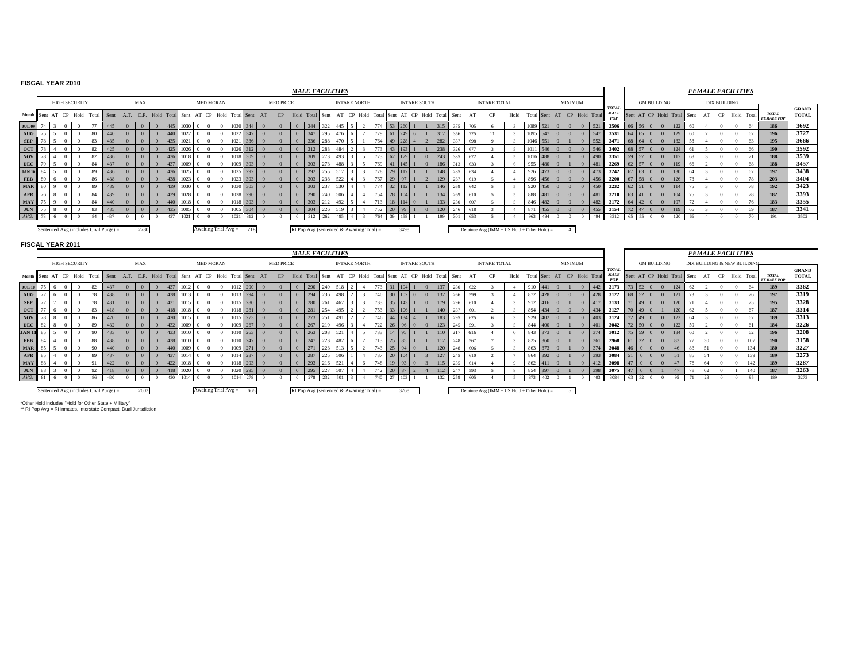#### **FISCAL YEAR 2010**

|                                                                         |  |                      |                                        |     |      |                                                 |     |      |                        |          |     |    |                  |          |     | <b>MALE FACILITIES</b>                                    |     |                     |     |      |                     |     |      |     |     |                                                |      |     |              |                |                             |                                           |                            |        |                    |     | <b>FEMALE FACILITIES</b> |    |                     |               |                                   |                       |
|-------------------------------------------------------------------------|--|----------------------|----------------------------------------|-----|------|-------------------------------------------------|-----|------|------------------------|----------|-----|----|------------------|----------|-----|-----------------------------------------------------------|-----|---------------------|-----|------|---------------------|-----|------|-----|-----|------------------------------------------------|------|-----|--------------|----------------|-----------------------------|-------------------------------------------|----------------------------|--------|--------------------|-----|--------------------------|----|---------------------|---------------|-----------------------------------|-----------------------|
|                                                                         |  | <b>HIGH SECURITY</b> |                                        |     | MAX  |                                                 |     |      | <b>MED MORAN</b>       |          |     |    | <b>MED PRICE</b> |          |     |                                                           |     | <b>INTAKE NORTH</b> |     |      | <b>INTAKE SOUTH</b> |     |      |     |     | <b>INTAKE TOTAL</b>                            |      |     |              | <b>MINIMUM</b> |                             |                                           |                            |        | <b>GM BUILDING</b> |     |                          |    | <b>DIX BUILDING</b> |               |                                   |                       |
|                                                                         |  |                      | Month Sent AT CP Hold Total Sent       |     |      | A.T. C.P. Hold Total Sent AT CP Hold Total Sent |     |      |                        |          |     | AT |                  |          |     | CP Hold Total Sent AT CP Hold Total Sent AT CP Hold Total |     |                     |     |      |                     |     | Sent |     |     | CP.                                            | Hold |     |              |                | Total Sent AT CP Hold Total | <b>TOTAL</b><br><b>MALE</b><br><b>POP</b> | Sent AT CP Hold Total Sent |        |                    |     |                          | AT |                     | CP Hold Total | <b>TOTAL</b><br><b>FEMALE POP</b> | <b>GRAND</b><br>TOTAL |
| <b>JUL 09</b>                                                           |  |                      |                                        |     |      |                                                 |     |      |                        |          |     |    |                  |          |     |                                                           |     |                     |     |      |                     |     |      |     | 705 |                                                |      |     |              |                |                             | 3500                                      |                            |        |                    |     |                          |    |                     | 64            | 186                               | 3692                  |
| $\,\mathrm{A}\mathrm{U}\mathrm{G}$                                      |  |                      | 80                                     | 440 |      |                                                 | 440 | 022  |                        |          | 347 |    |                  |          | 347 | 295                                                       |     |                     |     |      |                     | 317 |      | 356 | 725 |                                                |      |     | 1095 547     | $\Omega$       | 547<br>$\overline{0}$       | 3531                                      |                            |        |                    |     |                          |    |                     | -67           | 196                               | 3727                  |
| ${\bf SEP}$                                                             |  |                      |                                        | 435 |      |                                                 | 435 | 1021 |                        |          | 336 |    |                  |          | 336 | 288                                                       |     |                     |     |      |                     | 282 |      |     | 698 |                                                |      |     | $1046$ 551   |                | 552<br>$\mathbf{0}$         | 3471                                      |                            | 640    | $\mathbf{0}$       |     | 58                       |    |                     |               | 195                               | 3666                  |
| OCT                                                                     |  |                      | 82                                     | 425 |      |                                                 | 425 | 1026 |                        | 1026     | 312 |    |                  |          | 312 | 283                                                       | 484 |                     |     |      |                     | 238 |      |     | 677 |                                                |      |     | $1011$ 546   | $\Omega$       | 546<br>$\sqrt{0}$           | 3402                                      | 68 57 0 0                  |        |                    | 124 |                          |    |                     | 66            | 190                               | 3592                  |
| NOV                                                                     |  |                      | 82                                     | 436 |      |                                                 | 436 | 1018 |                        | 1018 309 |     |    |                  | $\Omega$ | 309 | 273                                                       | 493 |                     |     |      |                     | 243 | 335  |     | 672 |                                                |      |     | $1016$ 488 0 |                | 490<br>$\theta$             | 3351                                      | 59 57 0 0                  |        | 117                |     | 68                       |    |                     |               | 188                               | 3539                  |
| <b>DEC</b>                                                              |  |                      |                                        | 437 |      |                                                 | 437 | 1009 |                        |          | 303 |    |                  |          | 303 |                                                           | 488 |                     | 769 |      |                     | 186 | 313  |     | 633 |                                                |      |     | <b>480</b>   |                | 481                         | 3269                                      |                            |        |                    | 119 | 66                       |    |                     | 68            | 188                               | 3457                  |
| <b>JAN 10</b> 84                                                        |  |                      | 89                                     | 436 |      |                                                 | 436 | 1025 |                        |          | 292 |    |                  |          | 292 | 255                                                       |     |                     | 778 |      |                     | 148 | 285  |     | 634 |                                                |      |     | $926$ 473    |                | 473                         | 3242                                      | $63$ 0                     |        |                    |     |                          |    |                     | 67            | 197                               | 3438                  |
| $\ensuremath{\mathbf{F}}\ensuremath{\mathbf{E}}\ensuremath{\mathbf{B}}$ |  |                      |                                        | 438 |      |                                                 | 438 | 1023 |                        | 0231     | 303 |    |                  |          | 303 |                                                           |     |                     | 767 | 97   |                     | 129 |      |     | 619 |                                                |      |     | 896 456      |                | 456                         | 3200                                      |                            | $58$ 0 |                    | 126 |                          |    |                     |               | 203                               | 3404                  |
| <b>MAR</b> 80                                                           |  |                      |                                        | 439 |      |                                                 |     |      |                        |          | 303 |    |                  |          | 303 |                                                           |     |                     |     |      |                     | 146 |      | 269 | 642 |                                                |      |     | 450          | $\Omega$       | 450                         | 3232                                      |                            | 51 0   |                    | 114 |                          |    |                     |               | 192                               | 3423                  |
| $\bf{APR}$                                                              |  |                      |                                        | 439 |      |                                                 |     | 1028 |                        | 1028 290 |     |    |                  |          | 290 |                                                           |     |                     |     |      |                     | 134 |      | 269 | 610 |                                                |      | 888 | $\vert$ 481  | $\Omega$       | 481                         | 3210                                      |                            |        |                    |     |                          |    |                     |               | 182                               | 3393                  |
| <b>MAY</b>                                                              |  |                      |                                        | 440 |      |                                                 | 440 | 1018 |                        |          | 303 |    |                  |          | 303 |                                                           |     |                     |     |      |                     | 133 | 230  |     | 607 |                                                |      |     | 846 482      |                | 482                         | 3172                                      |                            |        |                    |     |                          |    |                     |               | 183                               | 3355                  |
| $_{\rm JUN}$                                                            |  |                      |                                        | 435 |      |                                                 | 435 | 1005 |                        |          | 304 |    |                  |          | 304 | 226                                                       |     |                     | 752 | 99   |                     | 120 | 246  |     | 618 |                                                |      | 871 | 455          | $\theta$       | 455<br>$\overline{0}$       | 3154                                      |                            |        |                    |     | 66                       |    |                     | 69            | 187                               | 3341                  |
| $AVG$ :                                                                 |  |                      |                                        | 437 |      |                                                 |     | 021  |                        |          |     |    |                  |          |     |                                                           |     |                     |     |      |                     |     | 301  |     |     |                                                |      | 963 |              |                | 494                         | 3312                                      |                            |        |                    |     |                          |    |                     |               | 191                               | 3502                  |
|                                                                         |  |                      | Sentenced Avg (includes Civil Purge) = |     | 2780 |                                                 |     |      | Awaiting Trial $Avg =$ |          | 718 |    |                  |          |     | RI Pop Avg (sentenced & Awaiting Trial) =                 |     |                     |     | 3498 |                     |     |      |     |     | Detainee Avg ( $IMM + US$ Hold + Other Hold) = |      |     |              |                |                             |                                           |                            |        |                    |     |                          |    |                     |               |                                   |                       |

#### **FISCAL YEAR 2011**

|                                                                                                                                                                                                                                |  |                                  |        |                                        |                                                 |      |     |      |                        |          |    |                  |      |            |     | <b>MALE FACILITIES</b> |                                             |     |      |                     |     |     |     |                                                |      |         |                             |                |     |                                          |                            |                    |     |    | <b>FEMALE FACILITIES</b>   |  |                                   |                              |
|--------------------------------------------------------------------------------------------------------------------------------------------------------------------------------------------------------------------------------|--|----------------------------------|--------|----------------------------------------|-------------------------------------------------|------|-----|------|------------------------|----------|----|------------------|------|------------|-----|------------------------|---------------------------------------------|-----|------|---------------------|-----|-----|-----|------------------------------------------------|------|---------|-----------------------------|----------------|-----|------------------------------------------|----------------------------|--------------------|-----|----|----------------------------|--|-----------------------------------|------------------------------|
|                                                                                                                                                                                                                                |  | <b>HIGH SECURITY</b>             |        |                                        |                                                 | MAX  |     |      | <b>MED MORAN</b>       |          |    | <b>MED PRICE</b> |      |            |     |                        | <b>INTAKE NORTH</b>                         |     |      | <b>INTAKE SOUTH</b> |     |     |     | <b>INTAKE TOTAL</b>                            |      |         |                             | <b>MINIMUM</b> |     |                                          |                            | <b>GM BUILDING</b> |     |    | DIX BUILDING & NEW BUILDIN |  |                                   |                              |
|                                                                                                                                                                                                                                |  | Month Sent AT CP Hold Total Sent |        |                                        | A.T. C.P. Hold Total Sent AT CP Hold Total Sent |      |     |      |                        |          | AT | CP               | Hold | Total Sent |     |                        | AT CP Hold Total Sent AT CP Hold Total Sent |     |      |                     |     |     | AT  |                                                | Hold |         | Total Sent AT CP Hold Total |                |     | <b>TOTA</b><br><b>MALE</b><br><b>POP</b> | Sent AT CP Hold Total Sent |                    |     |    | AT CP Hold Total           |  | <b>TOTAL</b><br><b>FEMALE POP</b> | <b>GRAND</b><br><b>TOTAL</b> |
| $\mathbf{JUL}$ 10                                                                                                                                                                                                              |  |                                  |        |                                        |                                                 |      |     |      |                        |          |    |                  |      | 290        |     |                        |                                             |     |      |                     | 137 | 280 | 622 |                                                |      |         |                             |                |     | 3173                                     |                            |                    |     |    |                            |  | 189                               | 3362                         |
| FOR THE SEA USE THE SEA USE THE SEA USE THE SEA USE THE SEA USE THE SEA USE THAT THE SEA USE THE SEA USE THAT THE SEA USE THE SEA USE THE SEA USE THE SEA USE THE SEA USE THE SEA USE THAT THE SEA USE THE SEA USE THE SEA USE |  |                                  |        | 438                                    |                                                 |      |     |      |                        | 1013 294 |    |                  |      | 294        |     | 498                    |                                             |     |      |                     | 132 | 266 | 599 |                                                |      |         | 872 428                     |                | 428 | 3122                                     |                            |                    |     |    |                            |  | 197                               | 3319                         |
|                                                                                                                                                                                                                                |  |                                  | 78     |                                        |                                                 |      |     |      |                        | 1015 280 |    |                  |      | 280        |     | 46                     |                                             |     |      |                     |     | 296 |     |                                                |      | 912     |                             |                | 417 | 3133                                     |                            |                    |     |    |                            |  | 195                               | 3328                         |
|                                                                                                                                                                                                                                |  |                                  |        |                                        |                                                 |      |     |      |                        | 1018 281 |    |                  |      | 281        |     | 495                    |                                             |     |      |                     | 140 |     |     |                                                |      |         | 894 434                     |                | 434 | 3127                                     |                            |                    |     |    |                            |  | 187                               | 3314                         |
|                                                                                                                                                                                                                                |  |                                  |        | 420                                    |                                                 |      |     |      |                        | 1015 273 |    |                  |      | 273        |     |                        |                                             |     |      |                     | 183 |     |     |                                                |      |         | 929 402                     |                | 403 | 3124                                     |                            |                    | 122 |    |                            |  | 189                               | 3313                         |
|                                                                                                                                                                                                                                |  |                                  |        | 432                                    |                                                 |      |     |      |                        | 1009 267 |    |                  |      | 267        |     |                        |                                             |     |      |                     | 123 | 245 | 591 |                                                |      |         | 844 400                     |                |     | 3042                                     |                            |                    | 122 |    |                            |  | 184                               | 3226                         |
|                                                                                                                                                                                                                                |  |                                  | 90     | 433                                    |                                                 |      |     |      |                        | 1010 263 |    |                  |      | 263        |     |                        |                                             |     |      |                     |     |     | 616 |                                                |      | 843     |                             |                |     | 3012                                     |                            |                    |     |    |                            |  | 196                               | 3208                         |
|                                                                                                                                                                                                                                |  |                                  | 88     | 438                                    |                                                 |      | 438 |      |                        | 1010 247 |    |                  |      | 247        |     | 482                    |                                             |     |      |                     | 112 | 248 | 567 |                                                |      |         | $825$ 360                   |                | 36  | 2968                                     | - 61                       |                    |     |    |                            |  | 190                               | 3158                         |
|                                                                                                                                                                                                                                |  |                                  | $90 -$ | 440                                    |                                                 |      |     |      |                        | 1009 271 |    |                  |      | 271        |     |                        |                                             |     |      |                     | 120 | 248 | 606 |                                                |      | 863 373 |                             |                | 37. | 3048                                     |                            |                    | 46  |    |                            |  | 180                               | 3227                         |
|                                                                                                                                                                                                                                |  |                                  | 89     | 437                                    |                                                 |      |     |      |                        | 1014 287 |    |                  |      | 287        |     | 506                    |                                             |     |      |                     | 127 | 245 |     |                                                |      |         | 864 392                     |                | 393 | 3084                                     |                            |                    |     | 85 |                            |  | 189                               | 3273                         |
|                                                                                                                                                                                                                                |  |                                  | 01     | 422                                    |                                                 |      | 122 |      |                        | 1018 293 |    |                  |      | 293        |     |                        |                                             |     |      |                     | 115 | 235 |     |                                                |      |         | $862$ 411                   |                | 412 | 3098                                     |                            |                    |     |    |                            |  | 189                               | 3287                         |
|                                                                                                                                                                                                                                |  |                                  |        | 418                                    |                                                 |      | 418 |      |                        | 1020 295 |    |                  |      | 295        | 227 | 507                    |                                             | 742 |      |                     | 112 | 247 | 593 |                                                |      |         | 854 397                     |                | 398 | 3075                                     |                            |                    |     | 78 | 62                         |  | 187                               | 3263                         |
| $AVG$ :                                                                                                                                                                                                                        |  |                                  |        |                                        |                                                 |      |     | 101. |                        |          |    |                  |      | 278        | 222 | 501                    |                                             |     |      |                     | 132 | 259 | 605 |                                                |      | 873     | $402 -$                     |                | 403 | 3084                                     |                            |                    |     |    | $\sim$                     |  | 189                               | 3273                         |
|                                                                                                                                                                                                                                |  |                                  |        | Sentenced Avg (includes Civil Purge) = |                                                 | 2603 |     |      | Awaiting Trial $Avg =$ | 665      |    |                  |      |            |     |                        | RI Pop Avg (sentenced & Awaiting Trial) =   |     | 3268 |                     |     |     |     | Detainee Avg ( $IMM + US$ Hold + Other Hold) = |      |         |                             |                |     |                                          |                            |                    |     |    |                            |  |                                   |                              |

\*Other Hold includes "Hold for Other State + Military" \*\* RI Pop Avg = RI inmates, Interstate Compact, Dual Jurisdiction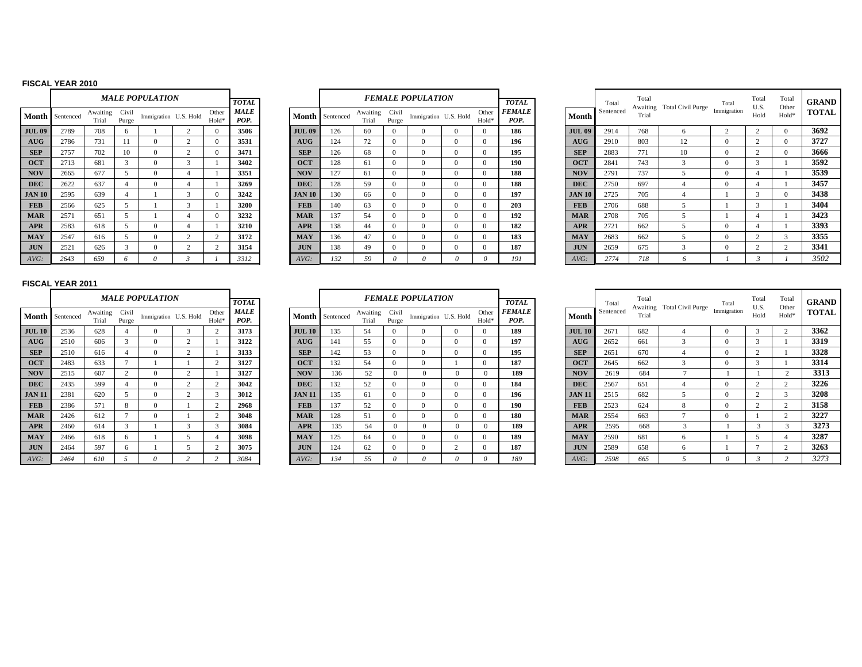#### **FISCAL YEAR 2010**

|               |           |                   |                | <i><b>MALE POPULATION</b></i> |                |                |                     |
|---------------|-----------|-------------------|----------------|-------------------------------|----------------|----------------|---------------------|
|               |           |                   |                |                               |                |                | TOTAL.              |
| Month         | Sentenced | Awaiting<br>Trial | Civil<br>Purge | Immigration U.S. Hold         |                | Other<br>Hold* | <b>MALE</b><br>POP. |
| <b>JUL 09</b> | 2789      | 708               | 6              | 1                             | $\mathfrak{2}$ | $\Omega$       | 3506                |
| AUG           | 2786      | 731               | 11             | $\Omega$                      | $\overline{c}$ | $\Omega$       | 3531                |
| <b>SEP</b>    | 2757      | 702               | 10             | $\Omega$                      | $\mathfrak{2}$ | $\Omega$       | 3471                |
| <b>OCT</b>    | 2713      | 681               | 3              | $\Omega$                      | 3              | 1              | 3402                |
| <b>NOV</b>    | 2665      | 677               | 5              | $\Omega$                      | $\overline{4}$ | 1              | 3351                |
| <b>DEC</b>    | 2622      | 637               | $\overline{4}$ | $\Omega$                      | $\overline{4}$ | 1              | 3269                |
| <b>JAN 10</b> | 2595      | 639               | $\overline{4}$ | 1                             | 3              | $\Omega$       | 3242                |
| <b>FEB</b>    | 2566      | 625               | 5              | 1                             | 3              | 1              | 3200                |
| <b>MAR</b>    | 2571      | 651               | 5              | 1                             | $\overline{4}$ | $\Omega$       | 3232                |
| <b>APR</b>    | 2583      | 618               | 5              | $\Omega$                      | $\overline{4}$ | 1              | 3210                |
| <b>MAY</b>    | 2547      | 616               | 5              | $\Omega$                      | $\overline{c}$ | $\overline{c}$ | 3172                |
| <b>JUN</b>    | 2521      | 626               | 3              | $\Omega$                      | $\mathfrak{2}$ | $\overline{c}$ | 3154                |
| AVG:          | 2643      | 659               | 6              | 0                             | 3              |                | 3312                |

|              |                        |                   |                | <b>MALE POPULATION</b> |                            | <b>TOTAL</b>        |                  |                 |                   |                | <b>FEMALE POPULATION</b> |          |                | <b>TOTAL</b>                 |               | Total     | Total<br>Awaiting | <b>Total Civil Purge</b> | Total       | Total<br>U.S. | Τo<br>Otl |
|--------------|------------------------|-------------------|----------------|------------------------|----------------------------|---------------------|------------------|-----------------|-------------------|----------------|--------------------------|----------|----------------|------------------------------|---------------|-----------|-------------------|--------------------------|-------------|---------------|-----------|
|              | <b>Month</b> Sentenced | Awaiting<br>Trial | Civil<br>Purge | Immigration U.S. Hold  | Other<br>Hold <sup>3</sup> | <b>MALE</b><br>POP. |                  | Month Sentenced | Awaiting<br>Trial | Civil<br>Purge | Immigration U.S. Hold    |          | Other<br>Hold* | <i><b>FEMALE</b></i><br>POP. | <b>Month</b>  | Sentenced | Trial             |                          | Immigration | Hold          | Ho        |
| <b>UL 09</b> | 2789                   | 708               |                |                        | $\Omega$                   | 3506                | <b>JUL 09</b>    | 126             | 60                | $\Omega$       |                          |          |                | 186                          | <b>JUL 09</b> | 2914      | 768               | $\mathbf{a}$             |             |               |           |
| AUG          | 2786                   | 731               |                |                        | $\Omega$                   | 3531                | $A\overline{U}G$ | 124             | 72                | $\Omega$       |                          |          |                | 196                          | <b>AUG</b>    | 2910      | 803               | 12                       | $\Omega$    | $\sim$        |           |
| <b>SEP</b>   | 2757                   | 702               | 10             |                        | - 0                        | 3471                | <b>SEP</b>       | 126             | 68                | $\Omega$       |                          |          |                | 195                          | <b>SEP</b>    | 2883      | 771               | 10                       | $\Omega$    |               |           |
| <b>OCT</b>   | 2713                   | 681               |                |                        |                            | 3402                | <b>OCT</b>       | 128             | 61                | $\Omega$       |                          |          |                | 190                          | <b>OCT</b>    | 2841      | 743               |                          | 0           |               |           |
| <b>NOV</b>   | 2665                   | 677               |                |                        |                            | 3351                | <b>NOV</b>       | 127             | 61                | $\Omega$       |                          |          |                | 188                          | <b>NOV</b>    | 2791      | 737               |                          | $\Omega$    |               |           |
| <b>DEC</b>   | 2622                   | 637               |                |                        |                            | 3269                | <b>DEC</b>       | 128             | 59                | $\Omega$       |                          |          |                | 188                          | <b>DEC</b>    | 2750      | 697               |                          | $\Omega$    |               |           |
| <b>AN 10</b> | 2595                   | 639               |                |                        | $^{\circ}$                 | 3242                | <b>JAN 10</b>    | 130             | 66                | $\Omega$       |                          |          |                | 197                          | <b>JAN 10</b> | 2725      | 705               |                          |             |               |           |
| <b>FEB</b>   | 2566                   | 625               |                |                        |                            | 3200                | <b>FEB</b>       | 140             | 63                | $\Omega$       |                          |          |                | 203                          | <b>FEB</b>    | 2706      | 688               |                          |             |               |           |
| <b>MAR</b>   | 2571                   | 651               |                |                        | $\Omega$                   | 3232                | <b>MAR</b>       | 137             | 54                | $\Omega$       |                          |          |                | 192                          | <b>MAR</b>    | 2708      | 705               |                          |             |               |           |
| <b>APR</b>   | 2583                   | 618               |                | $\theta$               |                            | 3210                | <b>APR</b>       | 138             | 44                | $\Omega$       |                          | $\Omega$ |                | 182                          | <b>APR</b>    | 2721      | 662               |                          | $\Omega$    |               |           |
| <b>MAY</b>   | 2547                   | 616               |                |                        | $\sqrt{2}$                 | 3172                | <b>MAY</b>       | 136             | 47                | $\Omega$       |                          | $\Omega$ |                | 183                          | <b>MAY</b>    | 2683      | 662               |                          | $\Omega$    |               |           |
| <b>JUN</b>   | 2521                   | 626               |                |                        |                            | 3154                | <b>JUN</b>       | 138             | 49                | $\theta$       |                          |          |                | 187                          | <b>JUN</b>    | 2659      | 675               |                          | $\Omega$    |               |           |
| AVG:         | 2643                   | 659               | <sup>n</sup>   |                        |                            | 3312                | $AVG$ :          | 132             | 59                | $\theta$       |                          |          |                | 191                          | AVG:          | 2774      | 718               |                          |             |               |           |
|              |                        |                   |                |                        |                            |                     |                  |                 |                   |                |                          |          |                |                              |               |           |                   |                          |             |               |           |

|    |                      |                   |                | <b>MALE POPULATION</b> |                            | <b>TOTAL</b> |               |                 |                   |                | <b>FEMALE POPULATION</b> |                            | <b>TOTAL</b>   |               | Total     | Total | Awaiting Total Civil Purge | Total       | Total<br>U.S. | Total<br>Other | <b>GRAND</b> |
|----|----------------------|-------------------|----------------|------------------------|----------------------------|--------------|---------------|-----------------|-------------------|----------------|--------------------------|----------------------------|----------------|---------------|-----------|-------|----------------------------|-------------|---------------|----------------|--------------|
|    | <b>1th</b> Sentenced | Awaiting<br>Trial | Civil<br>Purge | Immigration U.S. Hold  | Other<br>Hold <sup>3</sup> | MALE<br>POP. |               | Month Sentenced | Awaiting<br>Trial | Civil<br>Purge | Immigration U.S. Hold    | Other<br>Hold <sup>®</sup> | FEMALE<br>POP. | Month         | Sentenced | Trial |                            | Immigration | Hold          | Hold*          | <b>TOTAL</b> |
| 09 | 2789                 | 708               |                |                        |                            | 3506         | <b>JUL 09</b> | 126             | 60                |                |                          |                            | 186            | <b>JUL 09</b> | 2914      | 768   |                            |             |               |                | 3692         |
| G. | 2786                 | 731               |                |                        |                            | 3531         | AUG           | 124             | 72                |                |                          |                            | 196            | AUG           | 2910      | 803   | 12                         |             |               |                | 3727         |
|    | 2757                 | 702               | 10             |                        |                            | 3471         | <b>SEP</b>    | 126             | 68                |                |                          |                            | 195            | <b>SEP</b>    | 2883      | 771   | 10                         |             |               |                | 3666         |
|    | 2713                 | 681               | $\sim$         |                        |                            | 3402         | <b>OCT</b>    | 128             |                   |                |                          |                            | 190            | <b>OCT</b>    | 2841      | 743   |                            |             |               |                | 3592         |
|    | 2665                 | 677               |                |                        |                            | 3351         | <b>NOV</b>    | 127             |                   |                |                          |                            | 188            | <b>NOV</b>    | 2791      | 737   |                            |             |               |                | 3539         |
|    | 2622                 | 637               |                |                        |                            | 3269         | <b>DEC</b>    | 128             | 59                |                |                          |                            | 188            | <b>DEC</b>    | 2750      | 697   |                            |             |               |                | 3457         |
| 10 | 2595                 | 639               |                |                        |                            | 3242         | <b>JAN 10</b> | 130             | 66                |                |                          |                            | 197            | <b>JAN 10</b> | 2725      | 705   |                            |             |               |                | 3438         |
|    | 2566                 | 625               |                |                        |                            | 3200         | <b>FEB</b>    | 140             | 63                |                |                          |                            | 203            | <b>FEB</b>    | 2706      | 688   |                            |             |               |                | 3404         |
|    | 2571                 | 651               |                |                        |                            | 3232         | <b>MAR</b>    | 137             | 54                |                |                          |                            | 192            | <b>MAR</b>    | 2708      | 705   |                            |             |               |                | 3423         |
|    | 2583                 | 618               |                |                        |                            | 3210         | <b>APR</b>    | 138             | 44                |                |                          |                            | 182            | <b>APR</b>    | 2721      | 662   |                            |             |               |                | 3393         |
|    | 2547                 | 616               |                |                        |                            | 3172         | <b>MAY</b>    | 136             | 47                |                |                          |                            | 183            | <b>MAY</b>    | 2683      | 662   |                            |             |               |                | 3355         |
|    | 2521                 | 626               |                |                        |                            | 3154         | <b>JUN</b>    | 138             | 49                |                |                          |                            | 187            | <b>JUN</b>    | 2659      | 675   |                            |             |               |                | 3341         |
|    | 2643                 | 659               |                |                        |                            | 3312         | AVG:          | 132             | 59                |                |                          |                            | 191            | $AVG$ :       | 2774      | 718   |                            |             |               |                | 3502         |

## **FISCAL YEAR 2011**

|               |           |                   |                | <b>MALE POPULATION</b> |                |                |                     |
|---------------|-----------|-------------------|----------------|------------------------|----------------|----------------|---------------------|
|               |           |                   |                |                        |                |                | <b>TOTAL</b>        |
| Month         | Sentenced | Awaiting<br>Trial | Civil<br>Purge | Immigration U.S. Hold  |                | Other<br>Hold* | <b>MALE</b><br>POP. |
| <b>JUL 10</b> | 2536      | 628               | $\overline{4}$ | $\Omega$               | 3              | $\overline{c}$ | 3173                |
| AUG           | 2510      | 606               | 3              | $\theta$               | $\overline{c}$ | 1              | 3122                |
| <b>SEP</b>    | 2510      | 616               | $\overline{4}$ | $\theta$               | $\overline{c}$ | 1              | 3133                |
| <b>OCT</b>    | 2483      | 633               | 7              | 1                      | 1              | $\overline{c}$ | 3127                |
| <b>NOV</b>    | 2515      | 607               | $\overline{c}$ | $\Omega$               | $\overline{c}$ | 1              | 3127                |
| <b>DEC</b>    | 2435      | 599               | $\overline{4}$ | $\Omega$               | $\overline{c}$ | $\overline{c}$ | 3042                |
| <b>JAN 11</b> | 2381      | 620               | 5              | $\Omega$               | $\overline{c}$ | 3              | 3012                |
| <b>FEB</b>    | 2386      | 571               | 8              | $\theta$               | 1              | $\overline{c}$ | 2968                |
| <b>MAR</b>    | 2426      | 612               | 7              | $\Omega$               | 1              | $\overline{c}$ | 3048                |
| <b>APR</b>    | 2460      | 614               | 3              | 1                      | 3              | 3              | 3084                |
| <b>MAY</b>    | 2466      | 618               | 6              | 1                      | 5              | $\overline{4}$ | 3098                |
| <b>JUN</b>    | 2464      | 597               | 6              | 1                      | 5              | $\overline{c}$ | 3075                |
| AVG:          | 2464      | 610               | 5              | 0                      | $\overline{c}$ | $\overline{c}$ | 3084                |

|              |                        |                   |                       | <b>MALE POPULATION</b> |                | <b>TOTAL</b>        |               |                 |                   |                | <b>FEMALE POPULATION</b> |                | <b>TOTAL</b>                 |               | Total     | Total |                            | Total       | Total<br>U.S. | Otl |
|--------------|------------------------|-------------------|-----------------------|------------------------|----------------|---------------------|---------------|-----------------|-------------------|----------------|--------------------------|----------------|------------------------------|---------------|-----------|-------|----------------------------|-------------|---------------|-----|
|              | <b>Month</b> Sentenced | Awaiting<br>Trial | Civil<br>Purge        | Immigration U.S. Hold  | Other<br>Hold  | <b>MALE</b><br>POP. |               | Month Sentenced | Awaiting<br>Trial | Civil<br>Purge | Immigration U.S. Hold    | Other<br>Hold* | <i><b>FEMALE</b></i><br>POP. | Month         | Sentenced | Trial | Awaiting Total Civil Purge | Immigration | Hold          | Ho  |
| <b>UL 10</b> | 2536                   | 628               |                       |                        |                | 3173                | <b>JUL 10</b> | 135             | 54                |                |                          |                | 189                          | <b>JUL 10</b> | 2671      | 682   |                            |             |               |     |
| <b>AUG</b>   | 2510                   | 606               |                       |                        |                | 3122                | <b>AUG</b>    | 141             | 55                |                |                          |                | 197                          | <b>AUG</b>    | 2652      | 661   |                            |             |               |     |
| <b>SEP</b>   | 2510                   | 616               |                       |                        |                | 3133                | <b>SEP</b>    | 142             | 53                |                |                          |                | 195                          | <b>SEP</b>    | 2651      | 670   |                            | 0           |               |     |
| <b>OCT</b>   | 2483                   | 633               |                       |                        |                | 3127                | <b>OCT</b>    | 132             | 54                |                |                          |                | 187                          | <b>OCT</b>    | 2645      | 662   |                            | $^{\circ}$  |               |     |
| <b>NOV</b>   | 2515                   | 607               |                       |                        |                | 3127                | <b>NOV</b>    | 136             | 52                |                |                          | $^{\circ}$     | 189                          | <b>NOV</b>    | 2619      | 684   |                            |             |               |     |
| <b>DEC</b>   | 2435                   | 599               |                       |                        | $\overline{ }$ | 3042                | <b>DEC</b>    | 132             | 52                |                |                          |                | 184                          | <b>DEC</b>    | 2567      | 651   |                            | $\Omega$    |               |     |
| AN 11        | 2381                   | 620               |                       |                        | -3             | 3012                | <b>JAN 11</b> | 135             | 61                |                |                          |                | 196                          | <b>JAN 11</b> | 2515      | 682   |                            | $\Omega$    | $\sqrt{2}$    |     |
| <b>FEB</b>   | 2386                   | 571               | $\mathbf{\mathsf{R}}$ |                        | $\sqrt{2}$     | 2968                | <b>FEB</b>    | 137             | 52                |                |                          |                | 190                          | <b>FEB</b>    | 2523      | 624   | 8                          | $^{\circ}$  | $\sim$        |     |
| <b>MAR</b>   | 2426                   | 612               |                       |                        | $\sqrt{2}$     | 3048                | <b>MAR</b>    | 128             | 51                |                |                          |                | 180                          | <b>MAR</b>    | 2554      | 663   |                            | $^{\circ}$  |               |     |
| <b>APR</b>   | 2460                   | 614               |                       |                        | ×,             | 3084                | <b>APR</b>    | 135             | 54                |                |                          | $\Omega$       | 189                          | <b>APR</b>    | 2595      | 668   | $\sim$                     |             |               |     |
| <b>MAY</b>   | 2466                   | 618               |                       |                        |                | 3098                | <b>MAY</b>    | 125             | -64               |                |                          |                | 189                          | <b>MAY</b>    | 2590      | 681   | 6                          |             |               |     |
| <b>JUN</b>   | 2464                   | 597               |                       |                        |                | 3075                | <b>JUN</b>    | 124             | 62                |                |                          |                | 187                          | <b>JUN</b>    | 2589      | 658   | <sub>6</sub>               |             |               |     |
| AVG:         | 2464                   | 610               |                       |                        |                | 3084                | $AVG$ :       | 134             | 55                |                |                          |                | 189                          | AVG:          | 2598      | 665   |                            |             |               |     |

|        |                      |                   |                | <b>MALE POPULATION</b> |                            | <b>TOTAL</b>        |                  |                 |                   |                | <b>FEMALE POPULATION</b> |                | <b>TOTAL</b>          |               | Total     | Total<br>Awaiting | <b>Total Civil Purge</b> | Total       | Total<br>U.S. | Total<br>Other | <b>GRAND</b> |
|--------|----------------------|-------------------|----------------|------------------------|----------------------------|---------------------|------------------|-----------------|-------------------|----------------|--------------------------|----------------|-----------------------|---------------|-----------|-------------------|--------------------------|-------------|---------------|----------------|--------------|
|        | <b>1th</b> Sentenced | Awaiting<br>Trial | Civil<br>Purge | Immigration U.S. Hold  | Other<br>Hold <sup>3</sup> | <b>MALE</b><br>POP. |                  | Month Sentenced | Awaiting<br>Trial | Civil<br>Purge | Immigration U.S. Hold    | Other<br>Hold* | <i>FEMALE</i><br>POP. | Month         | Sentenced | Trial             |                          | Immigration | Hold          | Hold*          | <b>TOTAL</b> |
| 10     | 2536                 | 628               |                |                        |                            | 3173                | <b>JUL 10</b>    | 135             | 54                | $\Omega$       |                          |                | 189                   | <b>JUL 10</b> | 2671      | 682               |                          | $\Omega$    |               |                | 3362         |
| $\sim$ | 2510                 | 606               |                |                        |                            | 3122                | $A\overline{U}G$ | 141             | 55                | $\Omega$       |                          |                | 197                   | AUG           | 2652      | 661               | $\mathbf{a}$             | $\Omega$    |               |                | 3319         |
|        | 2510                 | 616               |                |                        |                            | 3133                | <b>SEP</b>       | 142             | 53                | $\Omega$       |                          |                | 195                   | <b>SEP</b>    | 2651      | 670               |                          | $\Omega$    |               |                | 3328         |
|        | 2483                 | 633               |                |                        |                            | 3127                | <b>OCT</b>       | 132             | 54                | $\Omega$       |                          |                | 187                   | <b>OCT</b>    | 2645      | 662               |                          | $\Omega$    |               |                | 3314         |
|        | 2515                 | 607               | $\sim$         |                        |                            | 3127                | <b>NOV</b>       | 136             | 52                | $^{\circ}$     |                          |                | 189                   | <b>NOV</b>    | 2619      | 684               |                          |             |               |                | 3313         |
|        | 2435                 | 599               |                |                        |                            | 3042                | <b>DEC</b>       | 132             | 52                | $\Omega$       |                          |                | 184                   | <b>DEC</b>    | 2567      | 651               |                          | $\Omega$    |               |                | 3226         |
|        | 2381                 | 620               |                |                        |                            | 3012                | <b>JAN 11</b>    | 135             | 61                | $\Omega$       |                          |                | 196                   | <b>JAN 11</b> | 2515      | 682               |                          | $\Omega$    |               |                | 3208         |
|        | 2386                 | 571               | 8              |                        |                            | 2968                | <b>FEB</b>       | 137             | 52                | $\Omega$       |                          |                | 190                   | <b>FEB</b>    | 2523      | 624               | 8                        | $\Omega$    |               |                | 3158         |
|        | 2426                 | 612               |                |                        |                            | 3048                | <b>MAR</b>       | 128             | 51                | $\Omega$       |                          |                | 180                   | <b>MAR</b>    | 2554      | 663               |                          | $\Omega$    |               |                | 3227         |
|        | 2460                 | 614               |                |                        |                            | 3084                | <b>APR</b>       | 135             | 54                | $\Omega$       |                          |                | 189                   | <b>APR</b>    | 2595      | 668               |                          |             |               |                | 3273         |
|        | 2466                 | 618               | 6              |                        |                            | 3098                | <b>MAY</b>       | 125             | 64                | $\Omega$       |                          |                | 189                   | <b>MAY</b>    | 2590      | 681               | 6                        |             |               |                | 3287         |
|        | 2464                 | 597               |                |                        |                            | 3075                | <b>JUN</b>       | 124             | 62                |                |                          |                | 187                   | <b>JUN</b>    | 2589      | 658               | 6                        |             |               |                | 3263         |
|        | 2464                 | 610               |                |                        |                            | 3084                | $AVG$ :          | 134             | 55                |                |                          |                | 189                   | $AVG$ :       | 2598      | 665               |                          |             |               |                | 3273         |